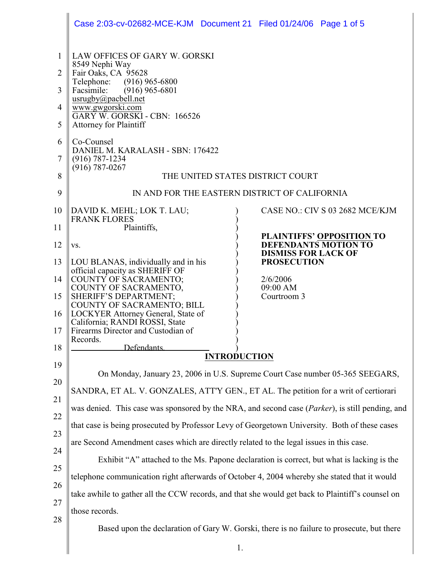|        | Case 2:03-cv-02682-MCE-KJM  Document 21  Filed 01/24/06  Page 1 of 5                                                                                                                             |                                                                                                  |  |  |  |  |
|--------|--------------------------------------------------------------------------------------------------------------------------------------------------------------------------------------------------|--------------------------------------------------------------------------------------------------|--|--|--|--|
| 1      | LAW OFFICES OF GARY W. GORSKI<br>8549 Nephi Way                                                                                                                                                  |                                                                                                  |  |  |  |  |
| 2      | Fair Oaks, CA 95628<br>Telephone:<br>$(916)$ 965-6800                                                                                                                                            |                                                                                                  |  |  |  |  |
| 3      | Facsimile:<br>$(916)$ 965-6801<br>usrugby@pacbell.net                                                                                                                                            |                                                                                                  |  |  |  |  |
| 4      | www.gwgorski.com<br>GARY W. GORSKI - CBN: 166526                                                                                                                                                 |                                                                                                  |  |  |  |  |
| 5      | <b>Attorney for Plaintiff</b>                                                                                                                                                                    |                                                                                                  |  |  |  |  |
| 6<br>7 | Co-Counsel<br>DANIEL M. KARALASH - SBN: 176422<br>$(916) 787 - 1234$                                                                                                                             |                                                                                                  |  |  |  |  |
| 8      | $(916) 787 - 0267$<br>THE UNITED STATES DISTRICT COURT                                                                                                                                           |                                                                                                  |  |  |  |  |
| 9      | IN AND FOR THE EASTERN DISTRICT OF CALIFORNIA                                                                                                                                                    |                                                                                                  |  |  |  |  |
| 10     | DAVID K. MEHL; LOK T. LAU;                                                                                                                                                                       | CASE NO.: CIV S 03 2682 MCE/KJM                                                                  |  |  |  |  |
| 11     | <b>FRANK FLORES</b><br>Plaintiffs,                                                                                                                                                               |                                                                                                  |  |  |  |  |
| 12     | VS.                                                                                                                                                                                              | <b>PLAINTIFFS' OPPOSITION TO</b><br><b>DEFENDANTS MOTION TO</b><br><b>DISMISS FOR LACK OF</b>    |  |  |  |  |
| 13     | LOU BLANAS, individually and in his<br>official capacity as SHERIFF OF                                                                                                                           | <b>PROSECUTION</b>                                                                               |  |  |  |  |
| 14     | COUNTY OF SACRAMENTO;<br>COUNTY OF SACRAMENTO,                                                                                                                                                   | 2/6/2006<br>09:00 AM                                                                             |  |  |  |  |
| 15     | SHERIFF'S DEPARTMENT;<br>COUNTY OF SACRAMENTO; BILL                                                                                                                                              | Courtroom 3                                                                                      |  |  |  |  |
| 16     | LOCKYER Attorney General, State of<br>California; RANDI ROSSI, State                                                                                                                             |                                                                                                  |  |  |  |  |
| 17     | Firearms Director and Custodian of<br>Records.                                                                                                                                                   |                                                                                                  |  |  |  |  |
| 18     | Defendants                                                                                                                                                                                       | <b>INTRODUCTION</b>                                                                              |  |  |  |  |
| 19     |                                                                                                                                                                                                  | On Monday, January 23, 2006 in U.S. Supreme Court Case number 05-365 SEEGARS,                    |  |  |  |  |
| 20     |                                                                                                                                                                                                  | SANDRA, ET AL. V. GONZALES, ATT'Y GEN., ET AL. The petition for a writ of certiorari             |  |  |  |  |
| 21     |                                                                                                                                                                                                  |                                                                                                  |  |  |  |  |
| 22     | was denied. This case was sponsored by the NRA, and second case (Parker), is still pending, and<br>that case is being prosecuted by Professor Levy of Georgetown University. Both of these cases |                                                                                                  |  |  |  |  |
| 23     |                                                                                                                                                                                                  |                                                                                                  |  |  |  |  |
| 24     | are Second Amendment cases which are directly related to the legal issues in this case.<br>Exhibit "A" attached to the Ms. Papone declaration is correct, but what is lacking is the             |                                                                                                  |  |  |  |  |
| 25     |                                                                                                                                                                                                  |                                                                                                  |  |  |  |  |
| 26     | telephone communication right afterwards of October 4, 2004 whereby she stated that it would                                                                                                     |                                                                                                  |  |  |  |  |
| 27     |                                                                                                                                                                                                  | take awhile to gather all the CCW records, and that she would get back to Plaintiff's counsel on |  |  |  |  |
| 28     | those records.                                                                                                                                                                                   |                                                                                                  |  |  |  |  |
|        |                                                                                                                                                                                                  | Based upon the declaration of Gary W. Gorski, there is no failure to prosecute, but there        |  |  |  |  |
|        |                                                                                                                                                                                                  | 1.                                                                                               |  |  |  |  |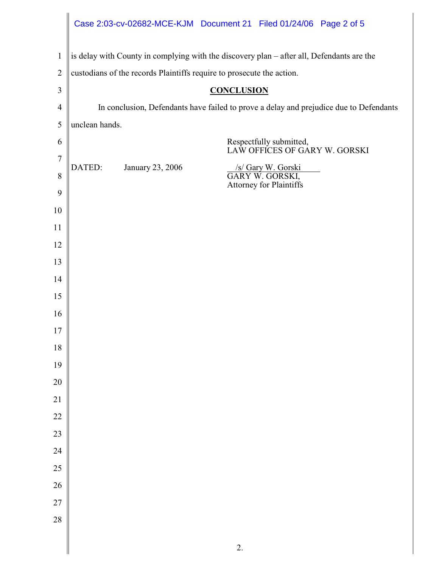|                |                                                                                        | Case 2:03-cv-02682-MCE-KJM Document 21 Filed 01/24/06 Page 2 of 5                         |                   |                                       |  |
|----------------|----------------------------------------------------------------------------------------|-------------------------------------------------------------------------------------------|-------------------|---------------------------------------|--|
| $\mathbf{1}$   |                                                                                        | is delay with County in complying with the discovery plan - after all, Defendants are the |                   |                                       |  |
| $\mathbf{2}$   | custodians of the records Plaintiffs require to prosecute the action.                  |                                                                                           |                   |                                       |  |
| 3              |                                                                                        |                                                                                           | <b>CONCLUSION</b> |                                       |  |
| $\overline{4}$ | In conclusion, Defendants have failed to prove a delay and prejudice due to Defendants |                                                                                           |                   |                                       |  |
| 5              | unclean hands.                                                                         |                                                                                           |                   |                                       |  |
| 6              |                                                                                        |                                                                                           |                   | Respectfully submitted,               |  |
| $\overline{7}$ |                                                                                        |                                                                                           |                   | LAW OFFICES OF GARY W. GORSKI         |  |
| 8              | DATED:                                                                                 | January 23, 2006                                                                          |                   | /s/ Gary W. Gorski<br>GARY W. GORSKI, |  |
| 9              |                                                                                        |                                                                                           |                   | Attorney for Plaintiffs               |  |
| 10             |                                                                                        |                                                                                           |                   |                                       |  |
| 11             |                                                                                        |                                                                                           |                   |                                       |  |
| 12             |                                                                                        |                                                                                           |                   |                                       |  |
| 13             |                                                                                        |                                                                                           |                   |                                       |  |
| 14             |                                                                                        |                                                                                           |                   |                                       |  |
| 15             |                                                                                        |                                                                                           |                   |                                       |  |
| 16             |                                                                                        |                                                                                           |                   |                                       |  |
| 17             |                                                                                        |                                                                                           |                   |                                       |  |
| 18             |                                                                                        |                                                                                           |                   |                                       |  |
| 19             |                                                                                        |                                                                                           |                   |                                       |  |
| $20\,$         |                                                                                        |                                                                                           |                   |                                       |  |
| $21\,$         |                                                                                        |                                                                                           |                   |                                       |  |
| $22\,$         |                                                                                        |                                                                                           |                   |                                       |  |
| 23             |                                                                                        |                                                                                           |                   |                                       |  |
| 24             |                                                                                        |                                                                                           |                   |                                       |  |
| 25             |                                                                                        |                                                                                           |                   |                                       |  |
| 26             |                                                                                        |                                                                                           |                   |                                       |  |
| $27\,$         |                                                                                        |                                                                                           |                   |                                       |  |
| 28             |                                                                                        |                                                                                           |                   |                                       |  |
|                |                                                                                        |                                                                                           | 2.                |                                       |  |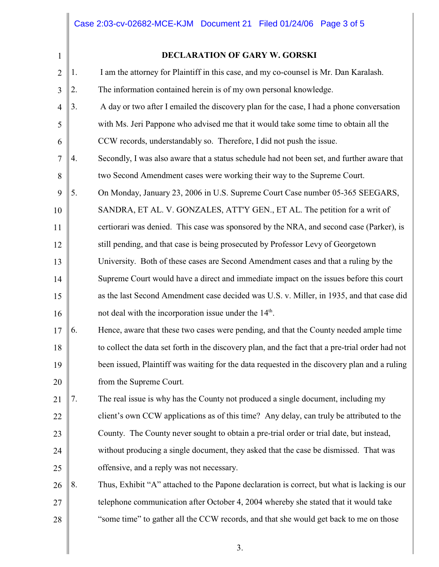1 2

## **DECLARATION OF GARY W. GORSKI**

| $\overline{2}$ | 1. | I am the attorney for Plaintiff in this case, and my co-counsel is Mr. Dan Karalash.             |
|----------------|----|--------------------------------------------------------------------------------------------------|
| 3              | 2. | The information contained herein is of my own personal knowledge.                                |
| $\overline{4}$ | 3. | A day or two after I emailed the discovery plan for the case, I had a phone conversation         |
| 5              |    | with Ms. Jeri Pappone who advised me that it would take some time to obtain all the              |
| 6              |    | CCW records, understandably so. Therefore, I did not push the issue.                             |
| $\overline{7}$ | 4. | Secondly, I was also aware that a status schedule had not been set, and further aware that       |
| 8              |    | two Second Amendment cases were working their way to the Supreme Court.                          |
| 9              | 5. | On Monday, January 23, 2006 in U.S. Supreme Court Case number 05-365 SEEGARS,                    |
| 10             |    | SANDRA, ET AL. V. GONZALES, ATT'Y GEN., ET AL. The petition for a writ of                        |
| 11             |    | certiorari was denied. This case was sponsored by the NRA, and second case (Parker), is          |
| 12             |    | still pending, and that case is being prosecuted by Professor Levy of Georgetown                 |
| 13             |    | University. Both of these cases are Second Amendment cases and that a ruling by the              |
| 14             |    | Supreme Court would have a direct and immediate impact on the issues before this court           |
| 15             |    | as the last Second Amendment case decided was U.S. v. Miller, in 1935, and that case did         |
| 16             |    | not deal with the incorporation issue under the 14 <sup>th</sup> .                               |
| 17             | 6. | Hence, aware that these two cases were pending, and that the County needed ample time            |
| 18             |    | to collect the data set forth in the discovery plan, and the fact that a pre-trial order had not |
| 19             |    | been issued, Plaintiff was waiting for the data requested in the discovery plan and a ruling     |
| 20             |    | from the Supreme Court.                                                                          |
| 21             | 7. | The real issue is why has the County not produced a single document, including my                |
| 22             |    | client's own CCW applications as of this time? Any delay, can truly be attributed to the         |
| 23             |    | County. The County never sought to obtain a pre-trial order or trial date, but instead,          |
| 24             |    | without producing a single document, they asked that the case be dismissed. That was             |
| 25             |    | offensive, and a reply was not necessary.                                                        |
| 26             | 8. | Thus, Exhibit "A" attached to the Papone declaration is correct, but what is lacking is our      |
| 27             |    | telephone communication after October 4, 2004 whereby she stated that it would take              |
| 28             |    | "some time" to gather all the CCW records, and that she would get back to me on those            |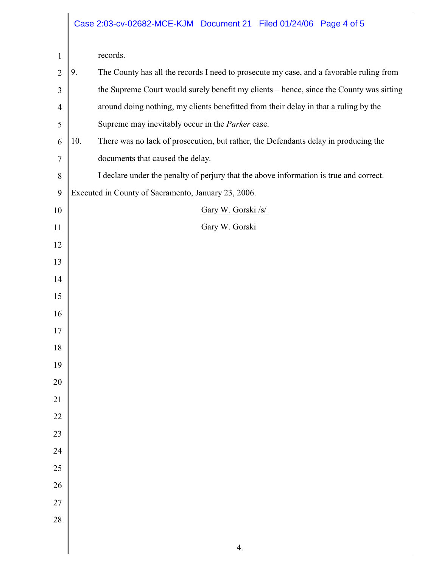| records.<br>1                                                                                                   |  |
|-----------------------------------------------------------------------------------------------------------------|--|
|                                                                                                                 |  |
| The County has all the records I need to prosecute my case, and a favorable ruling from<br>$\overline{2}$<br>9. |  |
| the Supreme Court would surely benefit my clients – hence, since the County was sitting<br>3                    |  |
| around doing nothing, my clients benefitted from their delay in that a ruling by the<br>$\overline{4}$          |  |
| Supreme may inevitably occur in the Parker case.<br>5                                                           |  |
| There was no lack of prosecution, but rather, the Defendants delay in producing the<br>10.<br>6                 |  |
| documents that caused the delay.<br>7                                                                           |  |
| I declare under the penalty of perjury that the above information is true and correct.<br>8                     |  |
| Executed in County of Sacramento, January 23, 2006.                                                             |  |
| Gary W. Gorski /s/<br>10                                                                                        |  |
| Gary W. Gorski<br>11                                                                                            |  |
| 12                                                                                                              |  |
| 13                                                                                                              |  |
| 14                                                                                                              |  |
| 15                                                                                                              |  |
| 16                                                                                                              |  |
| 17                                                                                                              |  |
| 18                                                                                                              |  |
| 19                                                                                                              |  |
| 20                                                                                                              |  |
| $21\,$                                                                                                          |  |
| 22                                                                                                              |  |
| 23                                                                                                              |  |
| 24                                                                                                              |  |
| 25                                                                                                              |  |
| 26                                                                                                              |  |
| $27\,$                                                                                                          |  |
| 28                                                                                                              |  |
| 4.                                                                                                              |  |